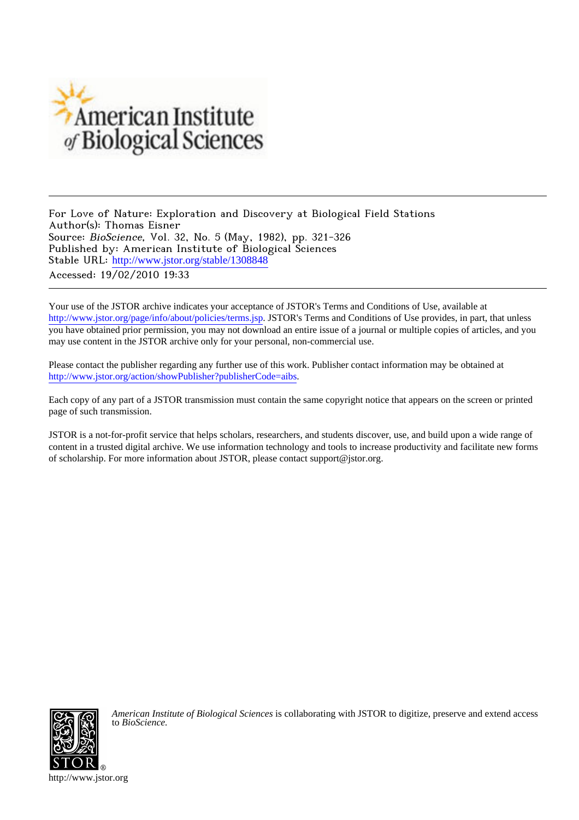

For Love of Nature: Exploration and Discovery at Biological Field Stations Author(s): Thomas Eisner Source: BioScience, Vol. 32, No. 5 (May, 1982), pp. 321-326 Published by: American Institute of Biological Sciences Stable URL: [http://www.jstor.org/stable/1308848](http://www.jstor.org/stable/1308848?origin=JSTOR-pdf) Accessed: 19/02/2010 19:33

Your use of the JSTOR archive indicates your acceptance of JSTOR's Terms and Conditions of Use, available at <http://www.jstor.org/page/info/about/policies/terms.jsp>. JSTOR's Terms and Conditions of Use provides, in part, that unless you have obtained prior permission, you may not download an entire issue of a journal or multiple copies of articles, and you may use content in the JSTOR archive only for your personal, non-commercial use.

Please contact the publisher regarding any further use of this work. Publisher contact information may be obtained at <http://www.jstor.org/action/showPublisher?publisherCode=aibs>.

Each copy of any part of a JSTOR transmission must contain the same copyright notice that appears on the screen or printed page of such transmission.

JSTOR is a not-for-profit service that helps scholars, researchers, and students discover, use, and build upon a wide range of content in a trusted digital archive. We use information technology and tools to increase productivity and facilitate new forms of scholarship. For more information about JSTOR, please contact support@jstor.org.



*American Institute of Biological Sciences* is collaborating with JSTOR to digitize, preserve and extend access to *BioScience.*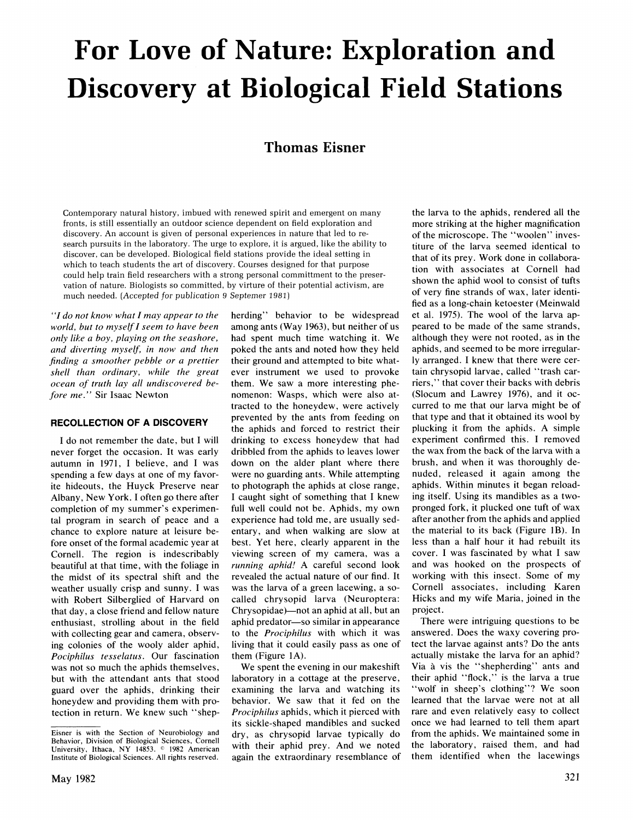# **For Love of Nature: Exploration and Discovery at Biological Field Stations**

# **Thomas Eisner**

**herding" behavior to be widespread among ants (Way 1963), but neither of us had spent much time watching it. We poked the ants and noted how they held their ground and attempted to bite whatever instrument we used to provoke** 

**Contemporary natural history, imbued with renewed spirit and emergent on many fronts, is still essentially an outdoor science dependent on field exploration and discovery. An account is given of personal experiences in nature that led to research pursuits in the laboratory. The urge to explore, it is argued, like the ability to discover, can be developed. Biological field stations provide the ideal setting in which to teach students the art of discovery. Courses designed for that purpose could help train field researchers with a strong personal committment to the preservation of nature. Biologists so committed, by virture of their potential activism, are much needed. (Accepted for publication 9 Septemer 1981)** 

**"I do not know what I may appear to the world, but to myself I seem to have been only like a boy, playing on the seashore, and diverting myself, in now and then finding a smoother pebble or a prettier shell than ordinary, while the great ocean of truth lay all undiscovered before me." Sir Isaac Newton** 

#### **RECOLLECTION OF A DISCOVERY**

**I do not remember the date, but I will never forget the occasion. It was early autumn in 1971, I believe, and I was spending a few days at one of my favorite hideouts, the Huyck Preserve near Albany, New York. I often go there after completion of my summer's experimental program in search of peace and a chance to explore nature at leisure before onset of the formal academic year at Cornell. The region is indescribably beautiful at that time, with the foliage in the midst of its spectral shift and the weather usually crisp and sunny. I was with Robert Silberglied of Harvard on that day, a close friend and fellow nature enthusiast, strolling about in the field with collecting gear and camera, observing colonies of the wooly alder aphid, Pociphilus tesselatus. Our fascination was not so much the aphids themselves, but with the attendant ants that stood guard over the aphids, drinking their honeydew and providing them with protection in return. We knew such "shep-**

**them. We saw a more interesting phenomenon: Wasps, which were also attracted to the honeydew, were actively prevented by the ants from feeding on the aphids and forced to restrict their drinking to excess honeydew that had dribbled from the aphids to leaves lower down on the alder plant where there were no guarding ants. While attempting to photograph the aphids at close range, I caught sight of something that I knew full well could not be. Aphids, my own experience had told me, are usually sedentary, and when walking are slow at best. Yet here, clearly apparent in the viewing screen of my camera, was a running aphid! A careful second look revealed the actual nature of our find. It was the larva of a green lacewing, a socalled chrysopid larva (Neuroptera: Chrysopidae)-not an aphid at all, but an aphid predator-so similar in appearance to the Prociphilus with which it was living that it could easily pass as one of them (Figure 1A). We spent the evening in our makeshift laboratory in a cottage at the preserve, examining the larva and watching its** 

**behavior. We saw that it fed on the Prociphilus aphids, which it pierced with its sickle-shaped mandibles and sucked dry, as chrysopid larvae typically do with their aphid prey. And we noted again the extraordinary resemblance of**  **the larva to the aphids, rendered all the more striking at the higher magnification of the microscope. The "woolen" investiture of the larva seemed identical to that of its prey. Work done in collaboration with associates at Cornell had shown the aphid wool to consist of tufts of very fine strands of wax, later identified as a long-chain ketoester (Meinwald et al. 1975). The wool of the larva appeared to be made of the same strands, although they were not rooted, as in the aphids, and seemed to be more irregularly arranged. I knew that there were certain chrysopid larvae, called "trash carriers," that cover their backs with debris (Slocum and Lawrey 1976), and it occurred to me that our larva might be of that type and that it obtained its wool by plucking it from the aphids. A simple experiment confirmed this. I removed the wax from the back of the larva with a brush, and when it was thoroughly denuded, released it again among the aphids. Within minutes it began reloading itself. Using its mandibles as a twopronged fork, it plucked one tuft of wax after another from the aphids and applied the material to its back (Figure IB). In less than a half hour it had rebuilt its cover. I was fascinated by what I saw and was hooked on the prospects of working with this insect. Some of my Cornell associates, including Karen Hicks and my wife Maria, joined in the project.** 

**There were intriguing questions to be answered. Does the waxy covering protect the larvae against ants? Do the ants actually mistake the larva for an aphid?**  Via à vis the "shepherding" ants and **their aphid "flock," is the larva a true "wolf in sheep's clothing"? We soon learned that the larvae were not at all rare and even relatively easy to collect once we had learned to tell them apart from the aphids. We maintained some in the laboratory, raised them, and had them identified when the lacewings** 

**Eisner is with the Section of Neurobiology and Behavior, Division of Biological Sciences, Cornell**  University, Ithaca, NY 14853. <sup>0</sup> 1982 American **Institute of Biological Sciences. All rights reserved.**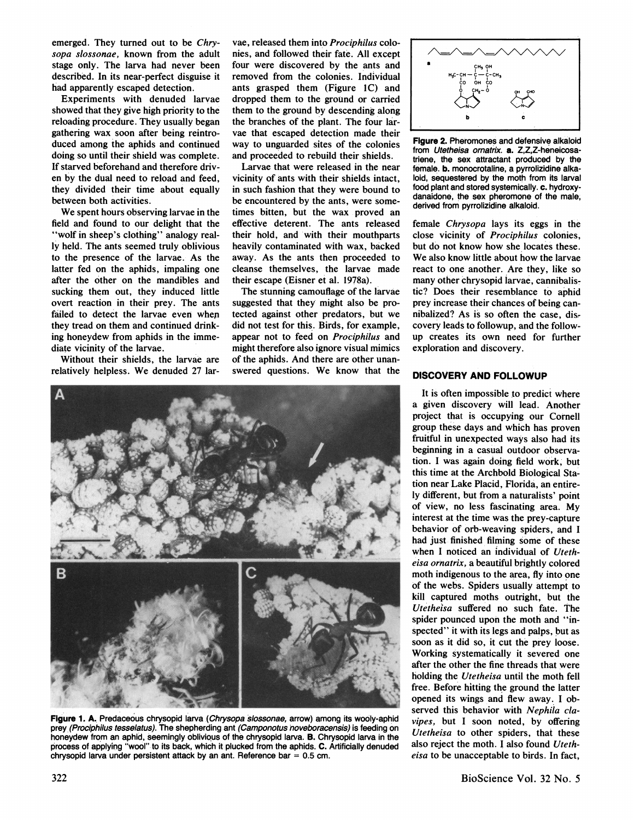**emerged. They turned out to be Chrysopa slossonae, known from the adult stage only. The larva had never been described. In its near-perfect disguise it had apparently escaped detection.** 

**Experiments with denuded larvae showed that they give high priority to the reloading procedure. They usually began gathering wax soon after being reintroduced among the aphids and continued doing so until their shield was complete. If starved beforehand and therefore driven by the dual need to reload and feed, they divided their time about equally between both activities.** 

**We spent hours observing larvae in the field and found to our delight that the "wolf in sheep's clothing" analogy really held. The ants seemed truly oblivious to the presence of the larvae. As the latter fed on the aphids, impaling one after the other on the mandibles and sucking them out, they induced little overt reaction in their prey. The ants failed to detect the larvae even whep they tread on them and continued drinking honeydew from aphids in the immediate vicinity of the larvae.** 

**Without their shields, the larvae are relatively helpless. We denuded 27 lar-**

**vae, released them into Prociphilus colonies, and followed their fate. All except four were discovered by the ants and removed from the colonies. Individual ants grasped them (Figure IC) and dropped them to the ground or carried them to the ground by descending along the branches of the plant. The four larvae that escaped detection made their way to unguarded sites of the colonies and proceeded to rebuild their shields.** 

**Larvae that were released in the near vicinity of ants with their shields intact, in such fashion that they were bound to be encountered by the ants, were sometimes bitten, but the wax proved an effective deterent. The ants released their hold, and with their mouthparts heavily contaminated with wax, backed away. As the ants then proceeded to cleanse themselves, the larvae made their escape (Eisner et al. 1978a).** 

**The stunning camouflage of the larvae suggested that they might also be protected against other predators, but we did not test for this. Birds, for example, appear not to feed on Prociphilus and might therefore also ignore visual mimics of the aphids. And there are other unanswered questions. We know that the** 



**Figure 1, A. Predaceous chrysopid larva (Chrysopa slossonae, arrow) among its wooly-aphid prey (Prociphilus tesselatus). The shepherding ant (Camponotus noveboracensis) is feeding on honeydew from an aphid, seemingly oblivious of the chrysopid larva. B. Chrysopid larva in the process of applying "wool" to its back, which it plucked from the aphids. C. Artificially denuded chrysopid larva under persistent attack by an ant. Reference bar = 0.5 cm.** 



**Figure 2. Pheromones and defensive alkaloid from Utetheisa ornatrix. a. Z,Z,Z-heneicosatriene, the sex attractant produced by the female. b. monocrotaline, a pyrrolizidine alkaloid, sequestered by the moth from its larval food plant and stored systemically. c. hydroxydanaidone, the sex pheromone of the male, derived from pyrrolizidine alkaloid.** 

**female Chrysopa lays its eggs in the close vicinity of Prociphilus colonies, but do not know how she locates these. We also know little about how the larvae react to one another. Are they, like so many other chrysopid larvae, cannibalistic? Does their resemblance to aphid prey increase their chances of being cannibalized? As is so often the case, discovery leads to followup, and the followup creates its own need for further exploration and discovery.** 

#### **DISCOVERY AND FOLLOWUP**

**It is often impossible to predict where a given discovery will lead. Another project that is occupying our Cornell group these days and which has proven fruitful in unexpected ways also had its beginning in a casual outdoor observation. I was again doing field work, but this time at the Archbold Biological Station near Lake Placid, Florida, an entirely different, but from a naturalists' point of view, no less fascinating area. My interest at the time was the prey-capture behavior of orb-weaving spiders, and I had just finished filming some of these when I noticed an individual of Utetheisa ornatrix, a beautiful brightly colored moth indigenous to the area, fly into one of the webs. Spiders usually attempt to kill captured moths outright, but the Utetheisa suffered no such fate. The spider pounced upon the moth and "inspected" it with its legs and palps, but as soon as it did so, it cut the prey loose. Working systematically it severed one after the other the fine threads that were holding the Utetheisa until the moth fell free. Before hitting the ground the latter opened its wings and flew away. I observed this behavior with Nephila clavipes, but I soon noted, by offering Utetheisa to other spiders, that these also reject the moth. I also found Utetheisa to be unacceptable to birds. In fact,**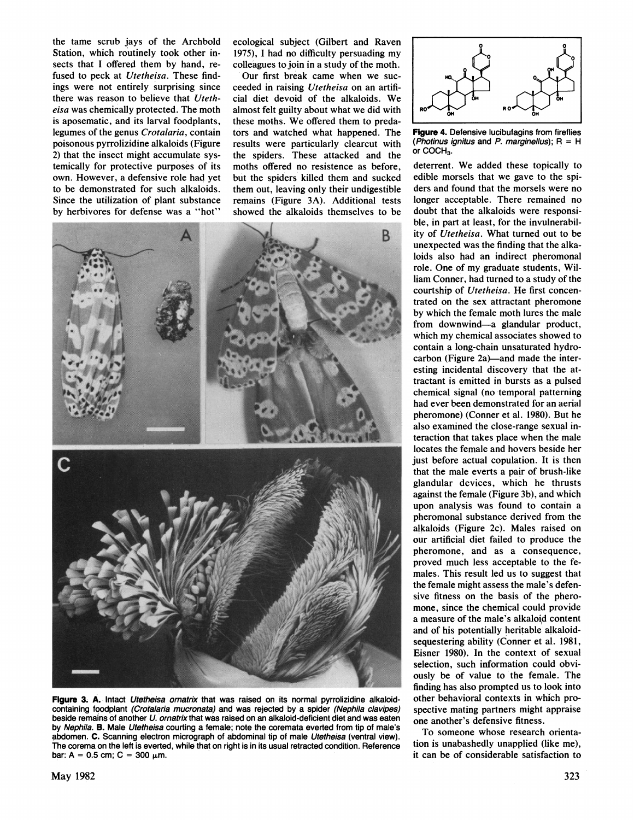the tame scrub jays of the Archbold Station, which routinely took other insects that I offered them by hand, refused to peck at Utetheisa. These findings were not entirely surprising since there was reason to believe that Utetheisa was chemically protected. The moth is aposematic, and its larval foodplants, legumes of the genus Crotalaria, contain poisonous pyrrolizidine alkaloids (Figure 2) that the insect might accumulate systemically for protective purposes of its own. However, a defensive role had yet to be demonstrated for such alkaloids. Since the utilization of plant substance by herbivores for defense was a "hot"

ecological subject (Gilbert and Raven 1975), I had no difficulty persuading my colleagues to join in a study of the moth.

Our first break came when we succeeded in raising Utetheisa on an artificial diet devoid of the alkaloids. We almost felt guilty about what we did with these moths. We offered them to predators and watched what happened. The results were particularly clearcut with the spiders. These attacked and the moths offered no resistence as before, but the spiders killed them and sucked them out, leaving only their undigestible remains (Figure 3A). Additional tests showed the alkaloids themselves to be



Figure 3. A. Intact Utetheisa ornatrix that was raised on its normal pyrrolizidine alkaloidcontaining foodplant (Crotalaria mucronata) and was rejected by a spider (Nephila clavipes) beside remains of another U. ornatrix that was raised on an alkaloid-deficient diet and was eaten by Nephila. B. Male Utetheisa courting a female; note the coremata everted from tip of male's abdomen. C. Scanning electron micrograph of abdominal tip of male Utetheisa (ventral view). The corema on the left is everted, while that on right is in its usual retracted condition. Reference bar: A = 0.5 cm; C = 300  $\mu$ m.

Flaure 4. Defensive lucibufagins from fireflies (Photinus ignitus and P. marginellus);  $R = H$ or COCH<sub>3</sub>.

deterrent. We added these topically to edible morsels that we gave to the spiders and found that the morsels were no longer acceptable. There remained no doubt that the alkaloids were responsible, in part at least, for the invulnerability of Utetheisa. What turned out to be unexpected was the finding that the alkaloids also had an indirect pheromonal role. One of my graduate students, William Conner, had turned to a study of the courtship of Utetheisa. He first concentrated on the sex attractant pheromone by which the female moth lures the male from downwind-a glandular product, which my chemical associates showed to contain a long-chain unsaturated hydrocarbon (Figure 2a)—and made the interesting incidental discovery that the attractant is emitted in bursts as a pulsed chemical signal (no temporal patterning had ever been demonstrated for an aerial pheromone) (Conner et al. 1980). But he also examined the close-range sexual interaction that takes place when the male locates the female and hovers beside her just before actual copulation. It is then that the male everts a pair of brush-like glandular devices, which he thrusts against the female (Figure 3b), and which upon analysis was found to contain a pheromonal substance derived from the alkaloids (Figure 2c). Males raised on our artificial diet failed to produce the pheromone, and as a consequence, proved much less acceptable to the females. This result led us to suggest that the female might assess the male's defensive fitness on the basis of the pheromone, since the chemical could provide a measure of the male's alkaloid content and of his potentially heritable alkaloidsequestering ability (Conner et al. 1981, Eisner 1980). In the context of sexual selection, such information could obviously be of value to the female. The finding has also prompted us to look into other behavioral contexts in which prospective mating partners might appraise one another's defensive fitness.

To someone whose research orientation is unabashedly unapplied (like me), it can be of considerable satisfaction to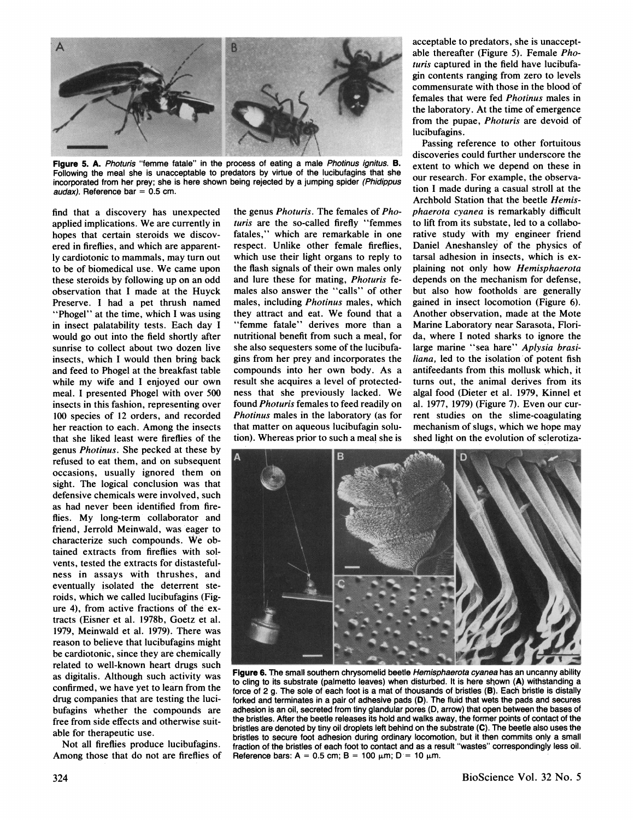

Figure 5. A. Photuris "femme fatale" in the process of eating a male Photinus ignitus. B. Following the meal she is unacceptable to predators by virtue of the lucibufagins that she incorporated from her prey; she is here shown being rejected by a jumping spider (Phidippus audax). Reference bar =  $0.5$  cm.

find that a discovery has unexpected applied implications. We are currently in hopes that certain steroids we discovered in fireflies, and which are apparently cardiotonic to mammals, may turn out to be of biomedical use. We came upon these steroids by following up on an odd observation that I made at the Huyck Preserve. I had a pet thrush named "Phogel" at the time, which I was using in insect palatability tests. Each day I would go out into the field shortly after sunrise to collect about two dozen live insects, which I would then bring back and feed to Phogel at the breakfast table while my wife and I enjoyed our own meal. I presented Phogel with over 500 insects in this fashion, representing over 100 species of 12 orders, and recorded her reaction to each. Among the insects that she liked least were fireflies of the genus Photinus. She pecked at these by refused to eat them, and on subsequent occasions, usually ignored them on sight. The logical conclusion was that defensive chemicals were involved, such as had never been identified from fireflies. My long-term collaborator and friend, Jerrold Meinwald, was eager to characterize such compounds. We obtained extracts from fireflies with solvents, tested the extracts for distastefulness in assays with thrushes, and eventually isolated the deterrent steroids, which we called lucibufagins (Figure 4), from active fractions of the extracts (Eisner et al. 1978b, Goetz et al. 1979, Meinwald et al. 1979). There was reason to believe that lucibufagins might be cardiotonic, since they are chemically related to well-known heart drugs such as digitalis. Although such activity was confirmed, we have yet to learn from the drug companies that are testing the lucibufagins whether the compounds are free from side effects and otherwise suitable for therapeutic use.

Not all fireflies produce lucibufagins. Among those that do not are fireflies of the genus *Photuris*. The females of *Pho*turis are the so-called firefly "femmes fatales," which are remarkable in one respect. Unlike other female fireflies, which use their light organs to reply to the flash signals of their own males only and lure these for mating, Photuris females also answer the "calls" of other males, including Photinus males, which they attract and eat. We found that a "femme fatale" derives more than a nutritional benefit from such a meal, for she also sequesters some of the lucibufagins from her prey and incorporates the compounds into her own body. As a result she acquires a level of protectedness that she previously lacked. We found Photuris females to feed readily on Photinus males in the laboratory (as for that matter on aqueous lucibufagin solution). Whereas prior to such a meal she is

acceptable to predators, she is unacceptable thereafter (Figure 5). Female Photuris captured in the field have lucibufagin contents ranging from zero to levels commensurate with those in the blood of females that were fed *Photinus* males in the laboratory. At the time of emergence from the pupae, Photuris are devoid of lucibufagins.

Passing reference to other fortuitous discoveries could further underscore the extent to which we depend on these in our research. For example, the observation I made during a casual stroll at the Archbold Station that the beetle Hemisphaerota cyanea is remarkably difficult to lift from its substate, led to a collaborative study with my engineer friend Daniel Aneshansley of the physics of tarsal adhesion in insects, which is explaining not only how Hemisphaerota depends on the mechanism for defense, but also how footholds are generally gained in insect locomotion (Figure 6). Another observation, made at the Mote Marine Laboratory near Sarasota, Florida, where I noted sharks to ignore the large marine "sea hare" Aplysia brasiliana, led to the isolation of potent fish antifeedants from this mollusk which, it turns out, the animal derives from its algal food (Dieter et al. 1979, Kinnel et al. 1977, 1979) (Figure 7). Even our current studies on the slime-coagulating mechanism of slugs, which we hope may shed light on the evolution of sclerotiza-



Figure 6. The small southern chrysomelid beetle Hemisphaerota cyanea has an uncanny ability to cling to its substrate (palmetto leaves) when disturbed. It is here shown (A) withstanding a force of 2 g. The sole of each foot is a mat of thousands of bristles (B). Each bristle is distally forked and terminates in a pair of adhesive pads (D). The fluid that wets the pads and secures adhesion is an oil, secreted from tiny glandular pores (D, arrow) that open between the bases of the bristles. After the beetle releases its hold and walks away, the former points of contact of the bristles are denoted by tiny oil droplets left behind on the substrate (C). The beetle also uses the bristles to secure foot adhesion during ordinary locomotion, but it then commits only a small fraction of the bristles of each foot to contact and as a result "wastes" correspondingly less oil. Reference bars: A = 0.5 cm: B = 100  $\mu$ m: D = 10  $\mu$ m.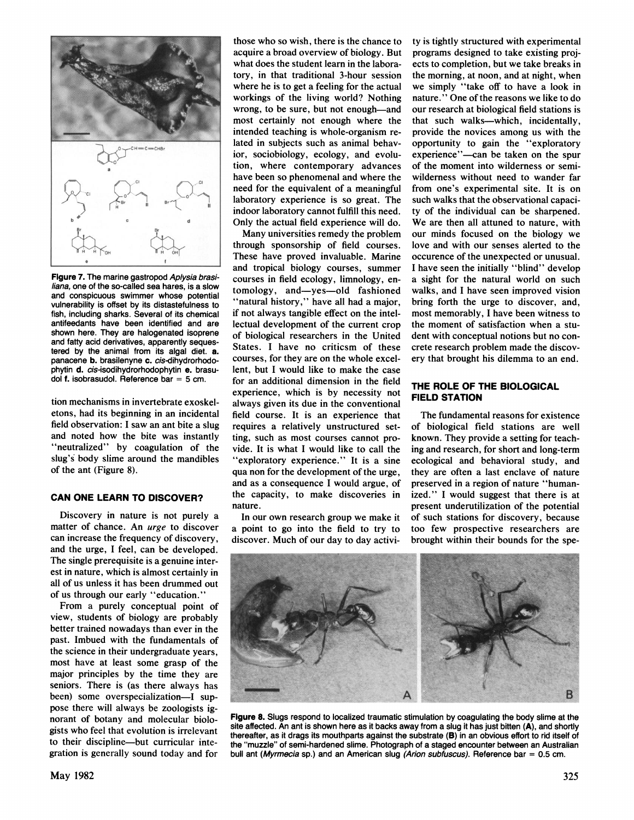

**Figure 7. The marine gastropod Aplysia brasiliana, one of the so-called sea hares, is a slow and conspicuous swimmer whose potential vulnerability is offset by its distastefulness to fish, including sharks. Several of its chemical antifeedants have been identified and are shown here. They are halogenated isoprene and fatty acid derivatives, apparently sequestered by the animal from its algal diet. a. panacene b. brasilenyne c. cis-dihydrorhodophytin d. cis-isodihydrorhodophytin e. brasudol f. isobrasudol. Reference bar = 5 cm.** 

**tion mechanisms in invertebrate exoskeletons, had its beginning in an incidental field observation: I saw an ant bite a slug and noted how the bite was instantly "neutralized" by coagulation of the slug's body slime around the mandibles of the ant (Figure 8).** 

#### **CAN ONE LEARN TO DISCOVER?**

**Discovery in nature is not purely a matter of chance. An urge to discover can increase the frequency of discovery, and the urge, I feel, can be developed. The single prerequisite is a genuine interest in nature, which is almost certainly in all of us unless it has been drummed out of us through our early "education."** 

**From a purely conceptual point of view, students of biology are probably better trained nowadays than ever in the past. Imbued with the fundamentals of the science in their undergraduate years, most have at least some grasp of the major principles by the time they are seniors. There is (as there always has been) some overspecialization-I suppose there will always be zoologists ignorant of botany and molecular biologists who feel that evolution is irrelevant to their discipline-but curricular integration is generally sound today and for** 

**those who so wish, there is the chance to acquire a broad overview of biology. But what does the student learn in the laboratory, in that traditional 3-hour session where he is to get a feeling for the actual workings of the living world? Nothing wrong, to be sure, but not enough-and most certainly not enough where the intended teaching is whole-organism related in subjects such as animal behavior, sociobiology, ecology, and evolution, where contemporary advances have been so phenomenal and where the need for the equivalent of a meaningful laboratory experience is so great. The indoor laboratory cannot fulfill this need. Only the actual field experience will do.** 

**Many universities remedy the problem through sponsorship of field courses. These have proved invaluable. Marine and tropical biology courses, summer courses in field ecology, limnology, entomology, and-yes-old fashioned "natural history," have all had a major, if not always tangible effect on the intellectual development of the current crop of biological researchers in the United States. I have no criticsm of these courses, for they are on the whole excellent, but I would like to make the case for an additional dimension in the field experience, which is by necessity not always given its due in the conventional field course. It is an experience that requires a relatively unstructured setting, such as most courses cannot provide. It is what I would like to call the "exploratory experience." It is a sine qua non for the development of the urge, and as a consequence I would argue, of the capacity, to make discoveries in nature.** 

**In our own research group we make it a point to go into the field to try to discover. Much of our day to day activi-**

**ty is tightly structured with experimental programs designed to take existing projects to completion, but we take breaks in the morning, at noon, and at night, when we simply "take off to have a look in nature." One of the reasons we like to do our research at biological field stations is that such walks-which, incidentally, provide the novices among us with the opportunity to gain the "exploratory experience"-can be taken on the spur of the moment into wilderness or semiwilderness without need to wander far from one's experimental site. It is on such walks that the observational capacity of the individual can be sharpened. We are then all attuned to nature, with our minds focused on the biology we love and with our senses alerted to the occurence of the unexpected or unusual. I have seen the initially "blind" develop a sight for the natural world on such walks, and I have seen improved vision bring forth the urge to discover, and, most memorably, I have been witness to the moment of satisfaction when a student with conceptual notions but no concrete research problem made the discovery that brought his dilemma to an end.** 

# **THE ROLE OF THE BIOLOGICAL FIELD STATION**

**The fundamental reasons for existence of biological field stations are well known. They provide a setting for teaching and research, for short and long-term ecological and behavioral study, and they are often a last enclave of nature preserved in a region of nature "humanized." I would suggest that there is at present underutilization of the potential of such stations for discovery, because too few prospective researchers are brought within their bounds for the spe-**



**Figure 8. Slugs respond to localized traumatic stimulation by coagulating the body slime at the site affected. An ant is shown here as it backs away from a slug it has just bitten (A), and shortly thereafter, as it drags its mouthparts against the substrate (B) in an obvious effort to rid itself of the "muzzle" of semi-hardened slime. Photograph of a staged encounter between an Australian bull ant (Myrmecia sp.) and an American slug (Arion subfuscus). Reference bar = 0.5 cm.**